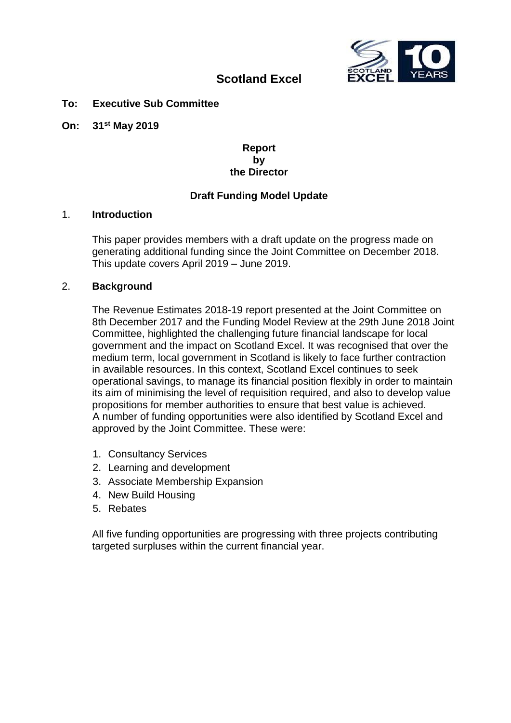

# **Scotland Excel**

#### **To: Executive Sub Committee**

**On: 31st May 2019**

#### **Report by the Director**

## **Draft Funding Model Update**

#### 1. **Introduction**

This paper provides members with a draft update on the progress made on generating additional funding since the Joint Committee on December 2018. This update covers April 2019 – June 2019.

#### 2. **Background**

The Revenue Estimates 2018-19 report presented at the Joint Committee on 8th December 2017 and the Funding Model Review at the 29th June 2018 Joint Committee, highlighted the challenging future financial landscape for local government and the impact on Scotland Excel. It was recognised that over the medium term, local government in Scotland is likely to face further contraction in available resources. In this context, Scotland Excel continues to seek operational savings, to manage its financial position flexibly in order to maintain its aim of minimising the level of requisition required, and also to develop value propositions for member authorities to ensure that best value is achieved. A number of funding opportunities were also identified by Scotland Excel and approved by the Joint Committee. These were:

- 1. Consultancy Services
- 2. Learning and development
- 3. Associate Membership Expansion
- 4. New Build Housing
- 5. Rebates

All five funding opportunities are progressing with three projects contributing targeted surpluses within the current financial year.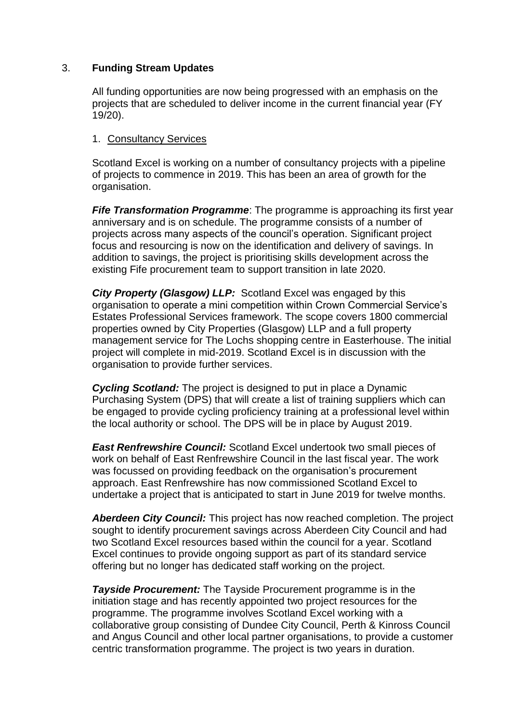## 3. **Funding Stream Updates**

All funding opportunities are now being progressed with an emphasis on the projects that are scheduled to deliver income in the current financial year (FY 19/20).

## 1. Consultancy Services

Scotland Excel is working on a number of consultancy projects with a pipeline of projects to commence in 2019. This has been an area of growth for the organisation.

**Fife Transformation Programme**: The programme is approaching its first year anniversary and is on schedule. The programme consists of a number of projects across many aspects of the council's operation. Significant project focus and resourcing is now on the identification and delivery of savings. In addition to savings, the project is prioritising skills development across the existing Fife procurement team to support transition in late 2020.

*City Property (Glasgow) LLP:* Scotland Excel was engaged by this organisation to operate a mini competition within Crown Commercial Service's Estates Professional Services framework. The scope covers 1800 commercial properties owned by City Properties (Glasgow) LLP and a full property management service for The Lochs shopping centre in Easterhouse. The initial project will complete in mid-2019. Scotland Excel is in discussion with the organisation to provide further services.

*Cycling Scotland:* The project is designed to put in place a Dynamic Purchasing System (DPS) that will create a list of training suppliers which can be engaged to provide cycling proficiency training at a professional level within the local authority or school. The DPS will be in place by August 2019.

**East Renfrewshire Council:** Scotland Excel undertook two small pieces of work on behalf of East Renfrewshire Council in the last fiscal year. The work was focussed on providing feedback on the organisation's procurement approach. East Renfrewshire has now commissioned Scotland Excel to undertake a project that is anticipated to start in June 2019 for twelve months.

*Aberdeen City Council:* This project has now reached completion. The project sought to identify procurement savings across Aberdeen City Council and had two Scotland Excel resources based within the council for a year. Scotland Excel continues to provide ongoing support as part of its standard service offering but no longer has dedicated staff working on the project.

*Tayside Procurement:* The Tayside Procurement programme is in the initiation stage and has recently appointed two project resources for the programme. The programme involves Scotland Excel working with a collaborative group consisting of Dundee City Council, Perth & Kinross Council and Angus Council and other local partner organisations, to provide a customer centric transformation programme. The project is two years in duration.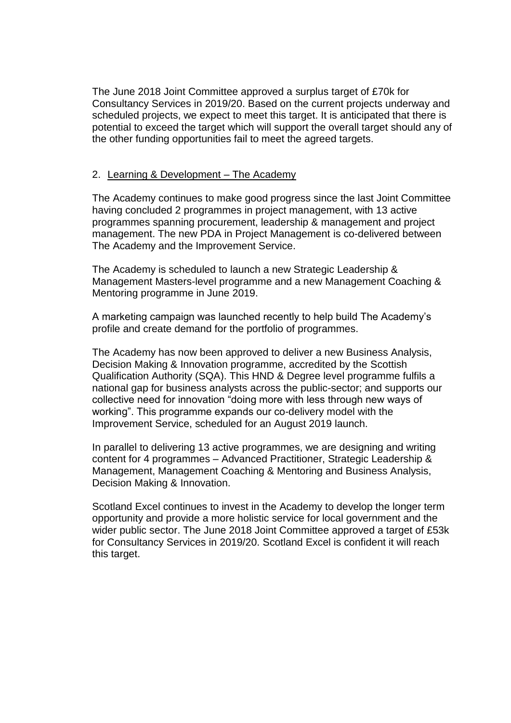The June 2018 Joint Committee approved a surplus target of £70k for Consultancy Services in 2019/20. Based on the current projects underway and scheduled projects, we expect to meet this target. It is anticipated that there is potential to exceed the target which will support the overall target should any of the other funding opportunities fail to meet the agreed targets.

## 2. Learning & Development – The Academy

The Academy continues to make good progress since the last Joint Committee having concluded 2 programmes in project management, with 13 active programmes spanning procurement, leadership & management and project management. The new PDA in Project Management is co-delivered between The Academy and the Improvement Service.

The Academy is scheduled to launch a new Strategic Leadership & Management Masters-level programme and a new Management Coaching & Mentoring programme in June 2019.

A marketing campaign was launched recently to help build The Academy's profile and create demand for the portfolio of programmes.

The Academy has now been approved to deliver a new Business Analysis, Decision Making & Innovation programme, accredited by the Scottish Qualification Authority (SQA). This HND & Degree level programme fulfils a national gap for business analysts across the public-sector; and supports our collective need for innovation "doing more with less through new ways of working". This programme expands our co-delivery model with the Improvement Service, scheduled for an August 2019 launch.

In parallel to delivering 13 active programmes, we are designing and writing content for 4 programmes – Advanced Practitioner, Strategic Leadership & Management, Management Coaching & Mentoring and Business Analysis, Decision Making & Innovation.

Scotland Excel continues to invest in the Academy to develop the longer term opportunity and provide a more holistic service for local government and the wider public sector. The June 2018 Joint Committee approved a target of £53k for Consultancy Services in 2019/20. Scotland Excel is confident it will reach this target.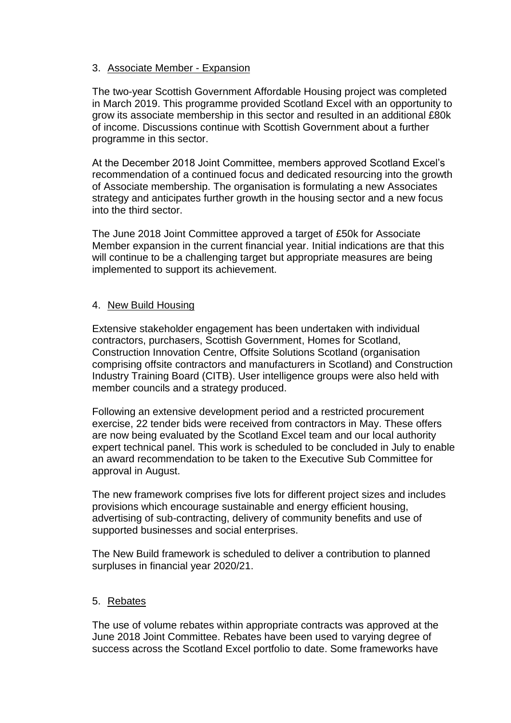## 3. Associate Member - Expansion

The two-year Scottish Government Affordable Housing project was completed in March 2019. This programme provided Scotland Excel with an opportunity to grow its associate membership in this sector and resulted in an additional £80k of income. Discussions continue with Scottish Government about a further programme in this sector.

At the December 2018 Joint Committee, members approved Scotland Excel's recommendation of a continued focus and dedicated resourcing into the growth of Associate membership. The organisation is formulating a new Associates strategy and anticipates further growth in the housing sector and a new focus into the third sector.

The June 2018 Joint Committee approved a target of £50k for Associate Member expansion in the current financial year. Initial indications are that this will continue to be a challenging target but appropriate measures are being implemented to support its achievement.

## 4. New Build Housing

Extensive stakeholder engagement has been undertaken with individual contractors, purchasers, Scottish Government, Homes for Scotland, Construction Innovation Centre, Offsite Solutions Scotland (organisation comprising offsite contractors and manufacturers in Scotland) and Construction Industry Training Board (CITB). User intelligence groups were also held with member councils and a strategy produced.

Following an extensive development period and a restricted procurement exercise, 22 tender bids were received from contractors in May. These offers are now being evaluated by the Scotland Excel team and our local authority expert technical panel. This work is scheduled to be concluded in July to enable an award recommendation to be taken to the Executive Sub Committee for approval in August.

The new framework comprises five lots for different project sizes and includes provisions which encourage sustainable and energy efficient housing, advertising of sub-contracting, delivery of community benefits and use of supported businesses and social enterprises.

The New Build framework is scheduled to deliver a contribution to planned surpluses in financial year 2020/21.

## 5. Rebates

The use of volume rebates within appropriate contracts was approved at the June 2018 Joint Committee. Rebates have been used to varying degree of success across the Scotland Excel portfolio to date. Some frameworks have